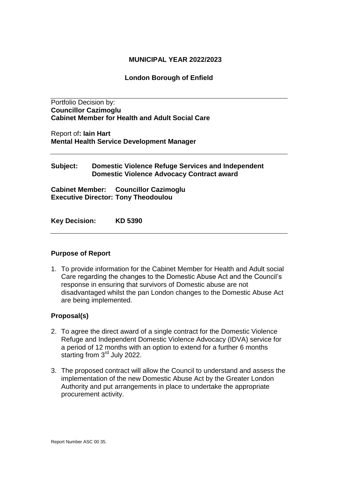### **MUNICIPAL YEAR 2022/2023**

### **London Borough of Enfield**

Portfolio Decision by: **Councillor Cazimoglu Cabinet Member for Health and Adult Social Care** 

Report of**: Iain Hart Mental Health Service Development Manager**

### **Subject: Domestic Violence Refuge Services and Independent Domestic Violence Advocacy Contract award**

**Cabinet Member: Councillor Cazimoglu Executive Director: Tony Theodoulou** 

**Key Decision: KD 5390**

#### **Purpose of Report**

1. To provide information for the Cabinet Member for Health and Adult social Care regarding the changes to the Domestic Abuse Act and the Council's response in ensuring that survivors of Domestic abuse are not disadvantaged whilst the pan London changes to the Domestic Abuse Act are being implemented.

## **Proposal(s)**

- 2. To agree the direct award of a single contract for the Domestic Violence Refuge and Independent Domestic Violence Advocacy (IDVA) service for a period of 12 months with an option to extend for a further 6 months starting from 3<sup>rd</sup> July 2022.
- 3. The proposed contract will allow the Council to understand and assess the implementation of the new Domestic Abuse Act by the Greater London Authority and put arrangements in place to undertake the appropriate procurement activity.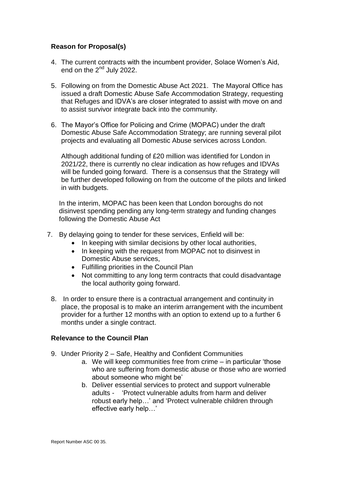# **Reason for Proposal(s)**

- 4. The current contracts with the incumbent provider, Solace Women's Aid, end on the 2<sup>nd</sup> July 2022.
- 5. Following on from the Domestic Abuse Act 2021. The Mayoral Office has issued a draft Domestic Abuse Safe Accommodation Strategy, requesting that Refuges and IDVA's are closer integrated to assist with move on and to assist survivor integrate back into the community.
- 6. The Mayor's Office for Policing and Crime (MOPAC) under the draft Domestic Abuse Safe Accommodation Strategy; are running several pilot projects and evaluating all Domestic Abuse services across London.

Although additional funding of £20 million was identified for London in 2021/22, there is currently no clear indication as how refuges and IDVAs will be funded going forward. There is a consensus that the Strategy will be further developed following on from the outcome of the pilots and linked in with budgets.

In the interim, MOPAC has been keen that London boroughs do not disinvest spending pending any long-term strategy and funding changes following the Domestic Abuse Act

- 7. By delaying going to tender for these services, Enfield will be:
	- In keeping with similar decisions by other local authorities,
	- In keeping with the request from MOPAC not to disinvest in Domestic Abuse services,
	- Fulfilling priorities in the Council Plan
	- Not committing to any long term contracts that could disadvantage the local authority going forward.
	- 8. In order to ensure there is a contractual arrangement and continuity in place, the proposal is to make an interim arrangement with the incumbent provider for a further 12 months with an option to extend up to a further 6 months under a single contract.

## **Relevance to the Council Plan**

- 9. Under Priority 2 Safe, Healthy and Confident Communities
	- a. We will keep communities free from crime in particular 'those who are suffering from domestic abuse or those who are worried about someone who might be'
	- b. Deliver essential services to protect and support vulnerable adults - 'Protect vulnerable adults from harm and deliver robust early help…' and 'Protect vulnerable children through effective early help…'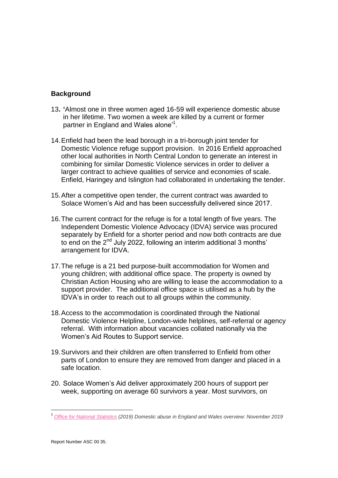# **Background**

- 13**. '**Almost one in three women aged 16-59 will experience domestic abuse in her lifetime. Two women a week are killed by a current or former partner in England and Wales alone'<sup>1</sup>.
- 14.Enfield had been the lead borough in a tri-borough joint tender for Domestic Violence refuge support provision. In 2016 Enfield approached other local authorities in North Central London to generate an interest in combining for similar Domestic Violence services in order to deliver a larger contract to achieve qualities of service and economies of scale. Enfield, Haringey and Islington had collaborated in undertaking the tender.
- 15.After a competitive open tender, the current contract was awarded to Solace Women's Aid and has been successfully delivered since 2017.
- 16.The current contract for the refuge is for a total length of five years. The Independent Domestic Violence Advocacy (IDVA) service was procured separately by Enfield for a shorter period and now both contracts are due to end on the 2<sup>nd</sup> July 2022, following an interim additional 3 months' arrangement for IDVA.
- 17.The refuge is a 21 bed purpose-built accommodation for Women and young children; with additional office space. The property is owned by Christian Action Housing who are willing to lease the accommodation to a support provider. The additional office space is utilised as a hub by the IDVA's in order to reach out to all groups within the community.
- 18.Access to the accommodation is coordinated through the National Domestic Violence Helpline, London-wide helplines, self-referral or agency referral. With information about vacancies collated nationally via the Women's Aid Routes to Support service.
- 19.Survivors and their children are often transferred to Enfield from other parts of London to ensure they are removed from danger and placed in a safe location.
- 20. Solace Women's Aid deliver approximately 200 hours of support per week, supporting on average 60 survivors a year. Most survivors, on

l

<sup>1</sup> *[Office for National Statistics](https://www.ons.gov.uk/peoplepopulationandcommunity/crimeandjustice/bulletins/domesticabuseinenglandandwalesoverview/november2019) (2019) Domestic abuse in England and Wales overview: November 2019*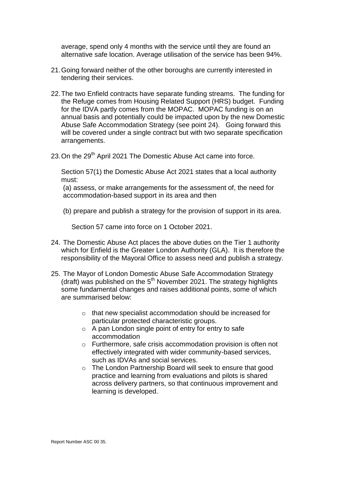average, spend only 4 months with the service until they are found an alternative safe location. Average utilisation of the service has been 94%.

- 21.Going forward neither of the other boroughs are currently interested in tendering their services.
- 22.The two Enfield contracts have separate funding streams. The funding for the Refuge comes from Housing Related Support (HRS) budget. Funding for the IDVA partly comes from the MOPAC. MOPAC funding is on an annual basis and potentially could be impacted upon by the new Domestic Abuse Safe Accommodation Strategy (see point 24). Going forward this will be covered under a single contract but with two separate specification arrangements.
- 23. On the 29<sup>th</sup> April 2021 The Domestic Abuse Act came into force.

Section 57(1) the Domestic Abuse Act 2021 states that a local authority must:

(a) assess, or make arrangements for the assessment of, the need for accommodation-based support in its area and then

(b) prepare and publish a strategy for the provision of support in its area.

Section 57 came into force on 1 October 2021.

- 24. The Domestic Abuse Act places the above duties on the Tier 1 authority which for Enfield is the Greater London Authority (GLA). It is therefore the responsibility of the Mayoral Office to assess need and publish a strategy.
- 25. The Mayor of London Domestic Abuse Safe Accommodation Strategy (draft) was published on the  $5<sup>th</sup>$  November 2021. The strategy highlights some fundamental changes and raises additional points, some of which are summarised below:
	- o that new specialist accommodation should be increased for particular protected characteristic groups.
	- o A pan London single point of entry for entry to safe accommodation
	- o Furthermore, safe crisis accommodation provision is often not effectively integrated with wider community-based services, such as IDVAs and social services.
	- o The London Partnership Board will seek to ensure that good practice and learning from evaluations and pilots is shared across delivery partners, so that continuous improvement and learning is developed.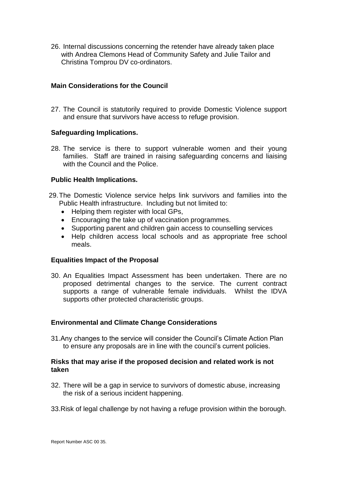26. Internal discussions concerning the retender have already taken place with Andrea Clemons Head of Community Safety and Julie Tailor and Christina Tomprou DV co-ordinators.

# **Main Considerations for the Council**

27. The Council is statutorily required to provide Domestic Violence support and ensure that survivors have access to refuge provision.

### **Safeguarding Implications.**

28. The service is there to support vulnerable women and their young families. Staff are trained in raising safeguarding concerns and liaising with the Council and the Police.

### **Public Health Implications.**

- 29.The Domestic Violence service helps link survivors and families into the Public Health infrastructure. Including but not limited to:
	- Helping them register with local GPs,
	- Encouraging the take up of vaccination programmes.
	- Supporting parent and children gain access to counselling services
	- Help children access local schools and as appropriate free school meals.

#### **Equalities Impact of the Proposal**

30. An Equalities Impact Assessment has been undertaken. There are no proposed detrimental changes to the service. The current contract supports a range of vulnerable female individuals. Whilst the IDVA supports other protected characteristic groups.

## **Environmental and Climate Change Considerations**

31.Any changes to the service will consider the Council's Climate Action Plan to ensure any proposals are in line with the council's current policies.

### **Risks that may arise if the proposed decision and related work is not taken**

- 32. There will be a gap in service to survivors of domestic abuse, increasing the risk of a serious incident happening.
- 33.Risk of legal challenge by not having a refuge provision within the borough.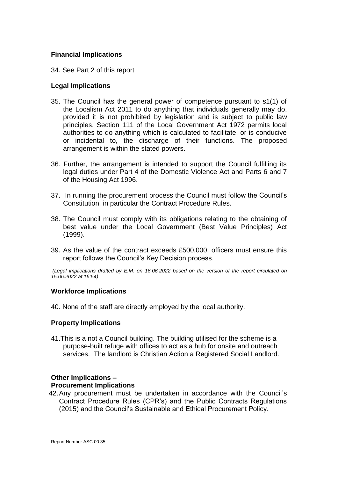## **Financial Implications**

34. See Part 2 of this report

### **Legal Implications**

- 35. The Council has the general power of competence pursuant to s1(1) of the Localism Act 2011 to do anything that individuals generally may do, provided it is not prohibited by legislation and is subject to public law principles. Section 111 of the Local Government Act 1972 permits local authorities to do anything which is calculated to facilitate, or is conducive or incidental to, the discharge of their functions. The proposed arrangement is within the stated powers.
- 36. Further, the arrangement is intended to support the Council fulfilling its legal duties under Part 4 of the Domestic Violence Act and Parts 6 and 7 of the Housing Act 1996.
- 37. In running the procurement process the Council must follow the Council's Constitution, in particular the Contract Procedure Rules.
- 38. The Council must comply with its obligations relating to the obtaining of best value under the Local Government (Best Value Principles) Act (1999).
- 39. As the value of the contract exceeds £500,000, officers must ensure this report follows the Council's Key Decision process.

*(Legal implications drafted by E.M. on 16.06.2022 based on the version of the report circulated on 15.06.2022 at 16:54)*

#### **Workforce Implications**

40. None of the staff are directly employed by the local authority.

#### **Property Implications**

41.This is a not a Council building. The building utilised for the scheme is a purpose-built refuge with offices to act as a hub for onsite and outreach services. The landlord is Christian Action a Registered Social Landlord.

#### **Other Implications –**

#### **Procurement Implications**

42.Any procurement must be undertaken in accordance with the Council's Contract Procedure Rules (CPR's) and the Public Contracts Regulations (2015) and the Council's Sustainable and Ethical Procurement Policy.